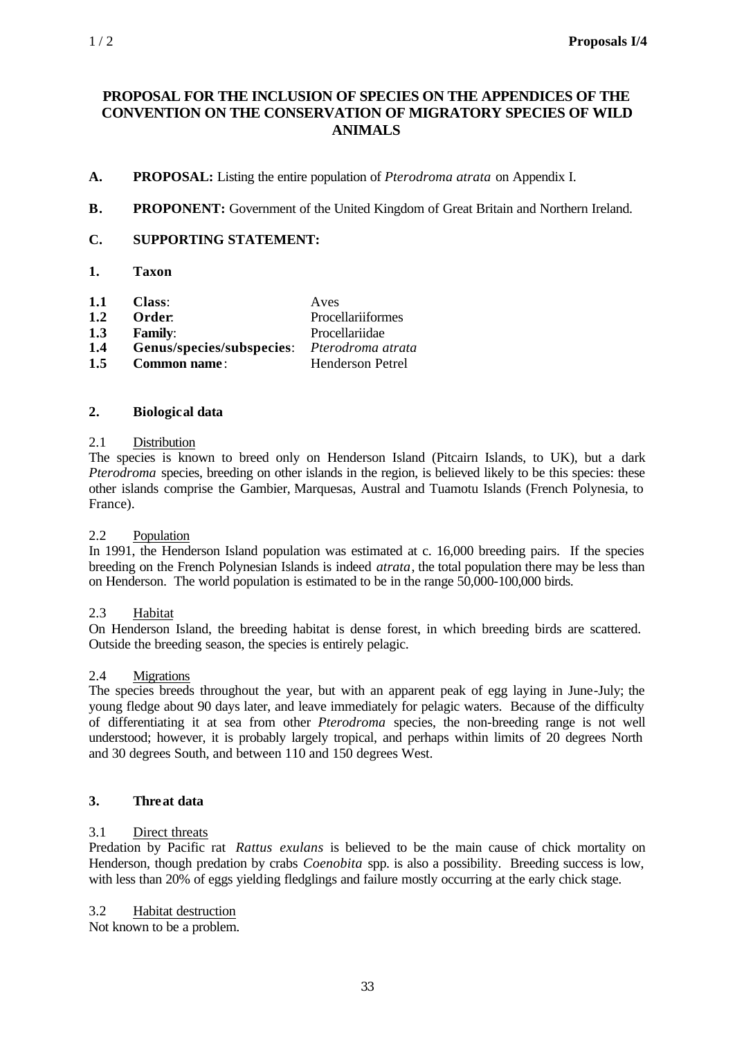## **PROPOSAL FOR THE INCLUSION OF SPECIES ON THE APPENDICES OF THE CONVENTION ON THE CONSERVATION OF MIGRATORY SPECIES OF WILD ANIMALS**

- **A. PROPOSAL:** Listing the entire population of *Pterodroma atrata* on Appendix I.
- **B. PROPONENT:** Government of the United Kingdom of Great Britain and Northern Ireland.

### **C. SUPPORTING STATEMENT:**

- **1. Taxon**
- **1.1 Class**: Aves
- **1.2 Order**: Procellariiformes
- **1.3 Family**: Procellariidae
- **1.4 Genus/species/subspecies**: *Pterodroma atrata*
- **1.5 Common name** : Henderson Petrel

#### **2. Biological data**

#### 2.1 Distribution

The species is known to breed only on Henderson Island (Pitcairn Islands, to UK), but a dark *Pterodroma* species, breeding on other islands in the region, is believed likely to be this species: these other islands comprise the Gambier, Marquesas, Austral and Tuamotu Islands (French Polynesia, to France).

#### 2.2 Population

In 1991, the Henderson Island population was estimated at c. 16,000 breeding pairs. If the species breeding on the French Polynesian Islands is indeed *atrata*, the total population there may be less than on Henderson. The world population is estimated to be in the range 50,000-100,000 birds.

#### 2.3 Habitat

On Henderson Island, the breeding habitat is dense forest, in which breeding birds are scattered. Outside the breeding season, the species is entirely pelagic.

#### 2.4 Migrations

The species breeds throughout the year, but with an apparent peak of egg laying in June-July; the young fledge about 90 days later, and leave immediately for pelagic waters. Because of the difficulty of differentiating it at sea from other *Pterodroma* species, the non-breeding range is not well understood; however, it is probably largely tropical, and perhaps within limits of 20 degrees North and 30 degrees South, and between 110 and 150 degrees West.

### **3. Threat data**

#### 3.1 Direct threats

Predation by Pacific rat *Rattus exulans* is believed to be the main cause of chick mortality on Henderson, though predation by crabs *Coenobita* spp. is also a possibility. Breeding success is low, with less than 20% of eggs yielding fledglings and failure mostly occurring at the early chick stage.

#### 3.2 Habitat destruction

Not known to be a problem.